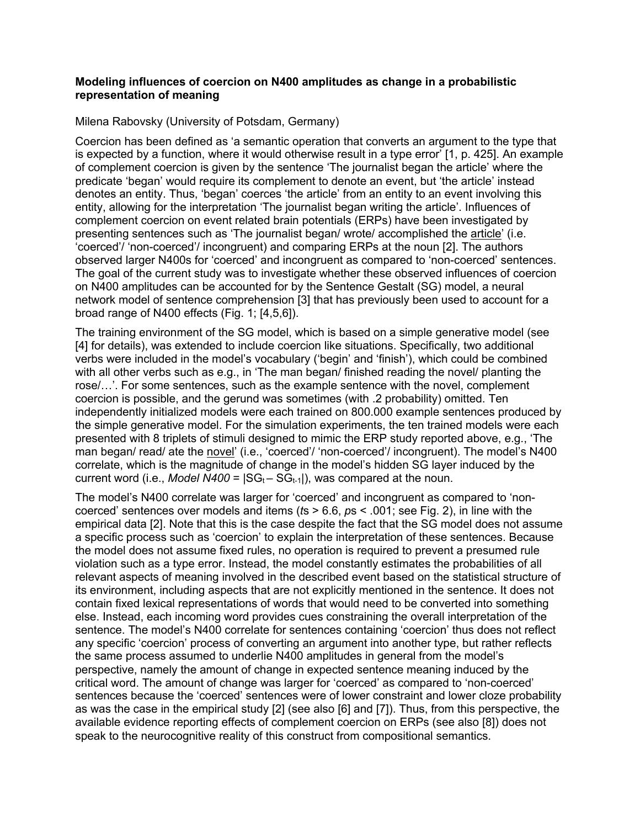## **Modeling influences of coercion on N400 amplitudes as change in a probabilistic representation of meaning**

Milena Rabovsky (University of Potsdam, Germany)

Coercion has been defined as 'a semantic operation that converts an argument to the type that is expected by a function, where it would otherwise result in a type error' [1, p. 425]. An example of complement coercion is given by the sentence 'The journalist began the article' where the predicate 'began' would require its complement to denote an event, but 'the article' instead denotes an entity. Thus, 'began' coerces 'the article' from an entity to an event involving this entity, allowing for the interpretation 'The journalist began writing the article'. Influences of complement coercion on event related brain potentials (ERPs) have been investigated by presenting sentences such as 'The journalist began/ wrote/ accomplished the article' (i.e. 'coerced'/ 'non-coerced'/ incongruent) and comparing ERPs at the noun [2]. The authors observed larger N400s for 'coerced' and incongruent as compared to 'non-coerced' sentences. The goal of the current study was to investigate whether these observed influences of coercion on N400 amplitudes can be accounted for by the Sentence Gestalt (SG) model, a neural network model of sentence comprehension [3] that has previously been used to account for a broad range of N400 effects (Fig. 1; [4,5,6]).

The training environment of the SG model, which is based on a simple generative model (see [4] for details), was extended to include coercion like situations. Specifically, two additional verbs were included in the model's vocabulary ('begin' and 'finish'), which could be combined with all other verbs such as e.g., in 'The man began/ finished reading the novel/ planting the rose/…'. For some sentences, such as the example sentence with the novel, complement coercion is possible, and the gerund was sometimes (with .2 probability) omitted. Ten independently initialized models were each trained on 800.000 example sentences produced by the simple generative model. For the simulation experiments, the ten trained models were each presented with 8 triplets of stimuli designed to mimic the ERP study reported above, e.g., 'The man began/ read/ ate the novel' (i.e., 'coerced'/ 'non-coerced'/ incongruent). The model's N400 correlate, which is the magnitude of change in the model's hidden SG layer induced by the current word (i.e., *Model N400* =  $|SG_t - SG_{t-1}|$ ), was compared at the noun.

The model's N400 correlate was larger for 'coerced' and incongruent as compared to 'noncoerced' sentences over models and items (*t*s > 6.6, *p*s < .001; see Fig. 2), in line with the empirical data [2]. Note that this is the case despite the fact that the SG model does not assume a specific process such as 'coercion' to explain the interpretation of these sentences. Because the model does not assume fixed rules, no operation is required to prevent a presumed rule violation such as a type error. Instead, the model constantly estimates the probabilities of all relevant aspects of meaning involved in the described event based on the statistical structure of its environment, including aspects that are not explicitly mentioned in the sentence. It does not contain fixed lexical representations of words that would need to be converted into something else. Instead, each incoming word provides cues constraining the overall interpretation of the sentence. The model's N400 correlate for sentences containing 'coercion' thus does not reflect any specific 'coercion' process of converting an argument into another type, but rather reflects the same process assumed to underlie N400 amplitudes in general from the model's perspective, namely the amount of change in expected sentence meaning induced by the critical word. The amount of change was larger for 'coerced' as compared to 'non-coerced' sentences because the 'coerced' sentences were of lower constraint and lower cloze probability as was the case in the empirical study [2] (see also [6] and [7]). Thus, from this perspective, the available evidence reporting effects of complement coercion on ERPs (see also [8]) does not speak to the neurocognitive reality of this construct from compositional semantics.